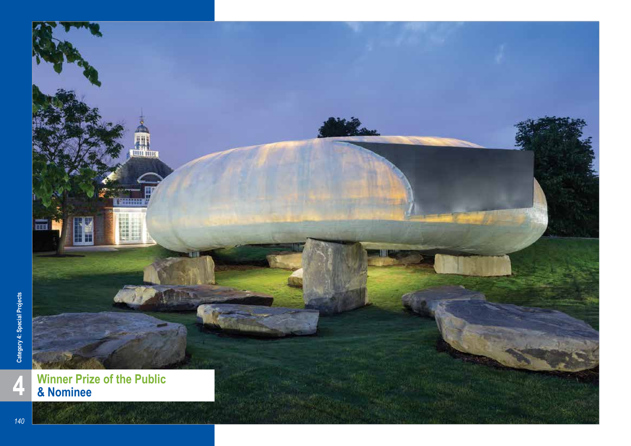

*140*